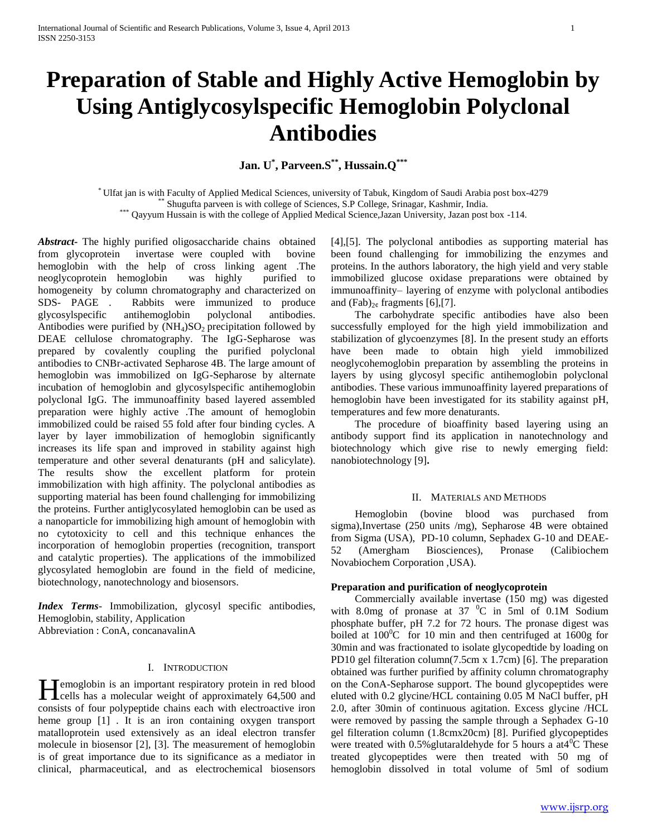# **Preparation of Stable and Highly Active Hemoglobin by Using Antiglycosylspecific Hemoglobin Polyclonal Antibodies**

**Jan. U\* , Parveen.S\*\* , Hussain.Q\*\*\***

\* Ulfat jan is with Faculty of Applied Medical Sciences, university of Tabuk, Kingdom of Saudi Arabia post box-4279 Shugufta parveen is with college of Sciences, S.P College, Srinagar, Kashmir, India. \*\*\* Qayyum Hussain is with the college of Applied Medical Science, Jazan University, Jazan post box -114.

*Abstract***-** The highly purified oligosaccharide chains obtained from glycoprotein invertase were coupled with bovine hemoglobin with the help of cross linking agent .The neoglycoprotein hemoglobin was highly purified to homogeneity by column chromatography and characterized on SDS- PAGE . Rabbits were immunized to produce glycosylspecific antihemoglobin polyclonal antibodies. Antibodies were purified by  $(NH<sub>4</sub>)SO<sub>2</sub>$  precipitation followed by DEAE cellulose chromatography. The IgG-Sepharose was prepared by covalently coupling the purified polyclonal antibodies to CNBr-activated Sepharose 4B. The large amount of hemoglobin was immobilized on IgG-Sepharose by alternate incubation of hemoglobin and glycosylspecific antihemoglobin polyclonal IgG. The immunoaffinity based layered assembled preparation were highly active .The amount of hemoglobin immobilized could be raised 55 fold after four binding cycles. A layer by layer immobilization of hemoglobin significantly increases its life span and improved in stability against high temperature and other several denaturants (pH and salicylate). The results show the excellent platform for protein immobilization with high affinity. The polyclonal antibodies as supporting material has been found challenging for immobilizing the proteins. Further antiglycosylated hemoglobin can be used as a nanoparticle for immobilizing high amount of hemoglobin with no cytotoxicity to cell and this technique enhances the incorporation of hemoglobin properties (recognition, transport and catalytic properties). The applications of the immobilized glycosylated hemoglobin are found in the field of medicine, biotechnology, nanotechnology and biosensors.

*Index Terms*- Immobilization, glycosyl specific antibodies, Hemoglobin, stability, Application Abbreviation : ConA, concanavalinA

# I. INTRODUCTION

 $\blacksquare$  Temoglobin is an important respiratory protein in red blood Hemoglobin is an important respiratory protein in red blood<br>cells has a molecular weight of approximately 64,500 and consists of four polypeptide chains each with electroactive iron heme group [1] . It is an iron containing oxygen transport matalloprotein used extensively as an ideal electron transfer molecule in biosensor [2], [3]. The measurement of hemoglobin is of great importance due to its significance as a mediator in clinical, pharmaceutical, and as electrochemical biosensors

[4],[5]. The polyclonal antibodies as supporting material has been found challenging for immobilizing the enzymes and proteins. In the authors laboratory, the high yield and very stable immobilized glucose oxidase preparations were obtained by immunoaffinity– layering of enzyme with polyclonal antibodies and  $(Fab)_{2\ell}$  fragments [6],[7].

 The carbohydrate specific antibodies have also been successfully employed for the high yield immobilization and stabilization of glycoenzymes [8]. In the present study an efforts have been made to obtain high yield immobilized neoglycohemoglobin preparation by assembling the proteins in layers by using glycosyl specific antihemoglobin polyclonal antibodies. These various immunoaffinity layered preparations of hemoglobin have been investigated for its stability against pH, temperatures and few more denaturants.

 The procedure of bioaffinity based layering using an antibody support find its application in nanotechnology and biotechnology which give rise to newly emerging field: nanobiotechnology [9]**.** 

# II. MATERIALS AND METHODS

 Hemoglobin (bovine blood was purchased from sigma),Invertase (250 units /mg), Sepharose 4B were obtained from Sigma (USA), PD-10 column, Sephadex G-10 and DEAE-52 (Amergham Biosciences), Pronase (Calibiochem Novabiochem Corporation ,USA).

# **Preparation and purification of neoglycoprotein**

 Commercially available invertase (150 mg) was digested with 8.0mg of pronase at 37  $\mathrm{^0C}$  in 5ml of 0.1M Sodium phosphate buffer, pH 7.2 for 72 hours. The pronase digest was boiled at  $100^{\circ}$ C for 10 min and then centrifuged at 1600g for 30min and was fractionated to isolate glycopedtide by loading on PD10 gel filteration column(7.5cm x 1.7cm) [6]. The preparation obtained was further purified by affinity column chromatography on the ConA-Sepharose support. The bound glycopeptides were eluted with 0.2 glycine/HCL containing 0.05 M NaCl buffer, pH 2.0, after 30min of continuous agitation. Excess glycine /HCL were removed by passing the sample through a Sephadex G-10 gel filteration column (1.8cmx20cm) [8]. Purified glycopeptides were treated with  $0.5\%$  glutaraldehyde for 5 hours a at 4<sup>0</sup>C These treated glycopeptides were then treated with 50 mg of hemoglobin dissolved in total volume of 5ml of sodium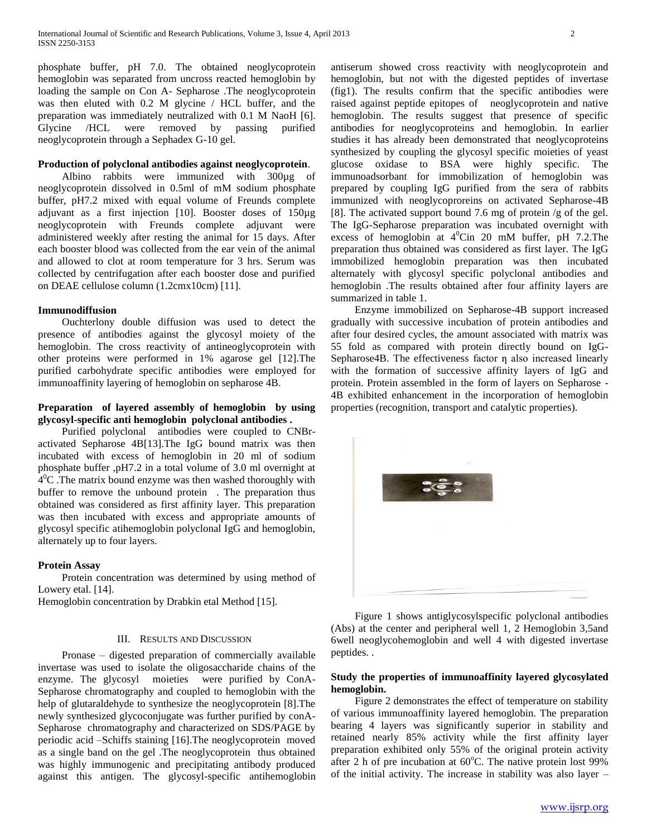phosphate buffer, pH 7.0. The obtained neoglycoprotein hemoglobin was separated from uncross reacted hemoglobin by loading the sample on Con A- Sepharose .The neoglycoprotein was then eluted with 0.2 M glycine / HCL buffer, and the preparation was immediately neutralized with 0.1 M NaoH [6]. Glycine /HCL were removed by passing purified neoglycoprotein through a Sephadex G-10 gel.

# **Production of polyclonal antibodies against neoglycoprotein**.

 Albino rabbits were immunized with 300µg of neoglycoprotein dissolved in 0.5ml of mM sodium phosphate buffer, pH7.2 mixed with equal volume of Freunds complete adjuvant as a first injection [10]. Booster doses of 150µg neoglycoprotein with Freunds complete adjuvant were administered weekly after resting the animal for 15 days. After each booster blood was collected from the ear vein of the animal and allowed to clot at room temperature for 3 hrs. Serum was collected by centrifugation after each booster dose and purified on DEAE cellulose column (1.2cmx10cm) [11].

# **Immunodiffusion**

 Ouchterlony double diffusion was used to detect the presence of antibodies against the glycosyl moiety of the hemoglobin. The cross reactivity of antineoglycoprotein with other proteins were performed in 1% agarose gel [12].The purified carbohydrate specific antibodies were employed for immunoaffinity layering of hemoglobin on sepharose 4B.

# **Preparation of layered assembly of hemoglobin by using glycosyl-specific anti hemoglobin polyclonal antibodies .**

 Purified polyclonal antibodies were coupled to CNBractivated Sepharose 4B[13].The IgG bound matrix was then incubated with excess of hemoglobin in 20 ml of sodium phosphate buffer ,pH7.2 in a total volume of 3.0 ml overnight at  $4^{\circ}$ C. The matrix bound enzyme was then washed thoroughly with buffer to remove the unbound protein . The preparation thus obtained was considered as first affinity layer. This preparation was then incubated with excess and appropriate amounts of glycosyl specific atihemoglobin polyclonal IgG and hemoglobin, alternately up to four layers.

# **Protein Assay**

 Protein concentration was determined by using method of Lowery etal. [14].

Hemoglobin concentration by Drabkin etal Method [15].

# III. RESULTS AND DISCUSSION

 Pronase – digested preparation of commercially available invertase was used to isolate the oligosaccharide chains of the enzyme. The glycosyl moieties were purified by ConA-Sepharose chromatography and coupled to hemoglobin with the help of glutaraldehyde to synthesize the neoglycoprotein [8].The newly synthesized glycoconjugate was further purified by conA-Sepharose chromatography and characterized on SDS/PAGE by periodic acid –Schiffs staining [16].The neoglycoprotein moved as a single band on the gel .The neoglycoprotein thus obtained was highly immunogenic and precipitating antibody produced against this antigen. The glycosyl-specific antihemoglobin antiserum showed cross reactivity with neoglycoprotein and hemoglobin, but not with the digested peptides of invertase (fig1). The results confirm that the specific antibodies were raised against peptide epitopes of neoglycoprotein and native hemoglobin. The results suggest that presence of specific antibodies for neoglycoproteins and hemoglobin. In earlier studies it has already been demonstrated that neoglycoproteins synthesized by coupling the glycosyl specific moieties of yeast glucose oxidase to BSA were highly specific. The immunoadsorbant for immobilization of hemoglobin was prepared by coupling IgG purified from the sera of rabbits immunized with neoglycoproreins on activated Sepharose-4B [8]. The activated support bound 7.6 mg of protein /g of the gel. The IgG-Sepharose preparation was incubated overnight with excess of hemoglobin at  $4^0$ Cin 20 mM buffer, pH 7.2.The preparation thus obtained was considered as first layer. The IgG immobilized hemoglobin preparation was then incubated alternately with glycosyl specific polyclonal antibodies and hemoglobin .The results obtained after four affinity layers are summarized in table 1.

 Enzyme immobilized on Sepharose-4B support increased gradually with successive incubation of protein antibodies and after four desired cycles, the amount associated with matrix was 55 fold as compared with protein directly bound on IgG-Sepharose $4B$ . The effectiveness factor  $\eta$  also increased linearly with the formation of successive affinity layers of IgG and protein. Protein assembled in the form of layers on Sepharose - 4B exhibited enhancement in the incorporation of hemoglobin properties (recognition, transport and catalytic properties).



 Figure 1 shows antiglycosylspecific polyclonal antibodies (Abs) at the center and peripheral well 1, 2 Hemoglobin 3,5and 6well neoglycohemoglobin and well 4 with digested invertase peptides. .

# **Study the properties of immunoaffinity layered glycosylated hemoglobin.**

 Figure 2 demonstrates the effect of temperature on stability of various immunoaffinity layered hemoglobin. The preparation bearing 4 layers was significantly superior in stability and retained nearly 85% activity while the first affinity layer preparation exhibited only 55% of the original protein activity after 2 h of pre incubation at  $60^{\circ}$ C. The native protein lost 99% of the initial activity. The increase in stability was also layer –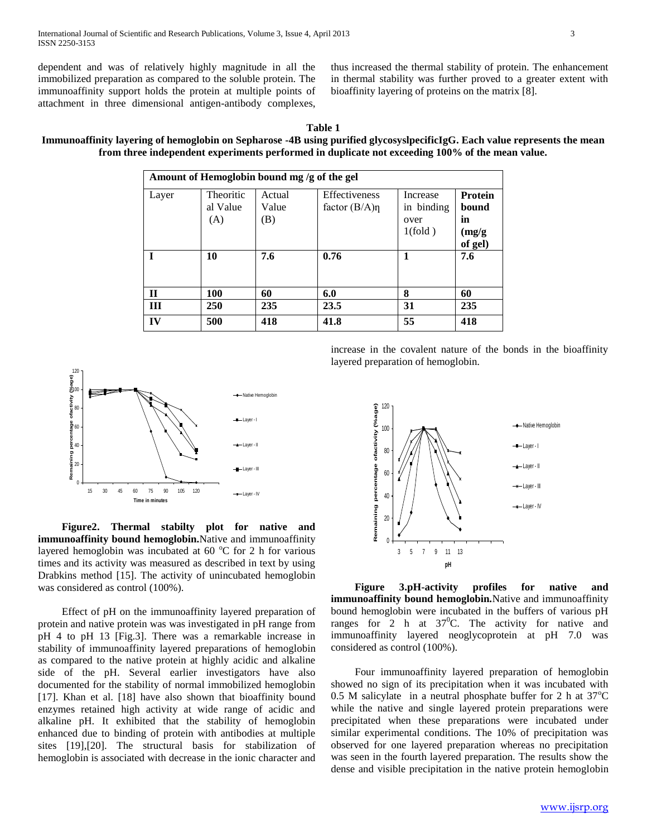dependent and was of relatively highly magnitude in all the immobilized preparation as compared to the soluble protein. The immunoaffinity support holds the protein at multiple points of attachment in three dimensional antigen-antibody complexes,

thus increased the thermal stability of protein. The enhancement in thermal stability was further proved to a greater extent with bioaffinity layering of proteins on the matrix [8].

# **Immunoaffinity layering of hemoglobin on Sepharose -4B using purified glycosyslpecificIgG. Each value represents the mean from three independent experiments performed in duplicate not exceeding 100% of the mean value.**

| Amount of Hemoglobin bound mg /g of the gel |                              |                        |                                     |                                           |                                             |
|---------------------------------------------|------------------------------|------------------------|-------------------------------------|-------------------------------------------|---------------------------------------------|
| Layer                                       | Theoritic<br>al Value<br>(A) | Actual<br>Value<br>(B) | Effectiveness<br>factor $(B/A)\eta$ | Increase<br>in binding<br>over<br>1(fold) | Protein<br>bound<br>in<br>(mg/g)<br>of gel) |
|                                             | 10                           | 7.6                    | 0.76                                | 1                                         | 7.6                                         |
| $\mathbf{I}$                                | 100                          | 60                     | 6.0                                 | 8                                         | 60                                          |
| Ш                                           | 250                          | 235                    | 23.5                                | 31                                        | 235                                         |
| IV                                          | 500                          | 418                    | 41.8                                | 55                                        | 418                                         |



 **Figure2. Thermal stabilty plot for native and immunoaffinity bound hemoglobin.**Native and immunoaffinity layered hemoglobin was incubated at  $60^{\circ}$ C for 2 h for various times and its activity was measured as described in text by using Drabkins method [15]. The activity of unincubated hemoglobin was considered as control (100%).

Effect of pH on the immunoaffinity layered preparation of protein and native protein was was investigated in pH range from pH 4 to pH 13 [Fig.3]. There was a remarkable increase in stability of immunoaffinity layered preparations of hemoglobin as compared to the native protein at highly acidic and alkaline side of the pH. Several earlier investigators have also documented for the stability of normal immobilized hemoglobin [17]. Khan et al. [18] have also shown that bioaffinity bound enzymes retained high activity at wide range of acidic and alkaline pH. It exhibited that the stability of hemoglobin enhanced due to binding of protein with antibodies at multiple sites [19],[20]. The structural basis for stabilization of hemoglobin is associated with decrease in the ionic character and

increase in the covalent nature of the bonds in the bioaffinity layered preparation of hemoglobin.



 **Figure 3.pH-activity profiles for native and immunoaffinity bound hemoglobin.**Native and immunoaffinity bound hemoglobin were incubated in the buffers of various pH ranges for 2 h at  $37^{\circ}$ C. The activity for native and immunoaffinity layered neoglycoprotein at pH 7.0 was considered as control (100%).

Four immunoaffinity layered preparation of hemoglobin showed no sign of its precipitation when it was incubated with 0.5 M salicylate in a neutral phosphate buffer for 2 h at  $37^{\circ}$ C while the native and single layered protein preparations were precipitated when these preparations were incubated under similar experimental conditions. The 10% of precipitation was observed for one layered preparation whereas no precipitation was seen in the fourth layered preparation. The results show the dense and visible precipitation in the native protein hemoglobin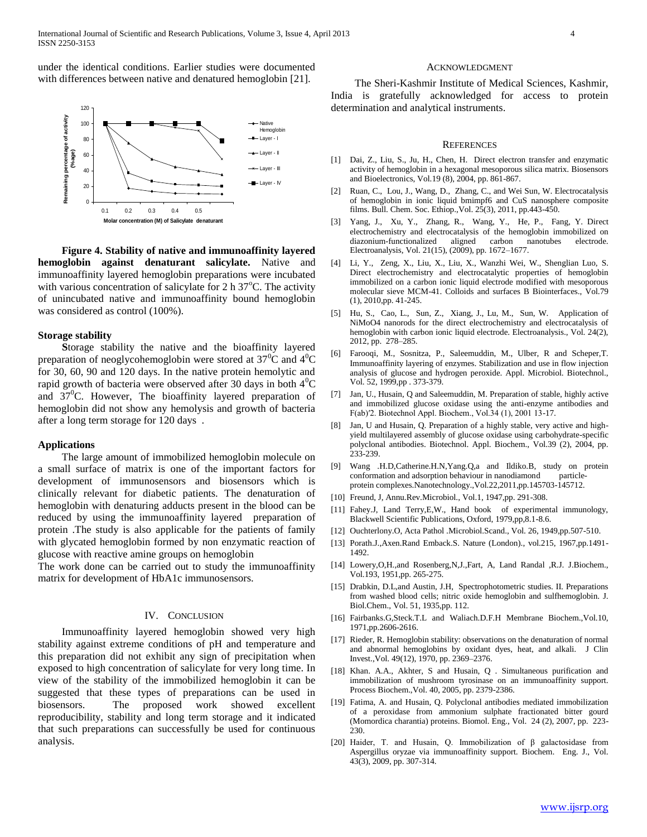under the identical conditions. Earlier studies were documented with differences between native and denatured hemoglobin [21].



 **Figure 4. Stability of native and immunoaffinity layered hemoglobin against denaturant salicylate.** Native and immunoaffinity layered hemoglobin preparations were incubated with various concentration of salicylate for  $2 h 37^{\circ}C$ . The activity of unincubated native and immunoaffinity bound hemoglobin was considered as control (100%).

# **Storage stability**

 **S**torage stability the native and the bioaffinity layered preparation of neoglycohemoglobin were stored at  $37^{\circ}$ C and  $4^{\circ}$ C for 30, 60, 90 and 120 days. In the native protein hemolytic and rapid growth of bacteria were observed after 30 days in both  $4^{\circ}C$ and  $37^{\circ}$ C. However, The bioaffinity layered preparation of hemoglobin did not show any hemolysis and growth of bacteria after a long term storage for 120 days .

# **Applications**

The large amount of immobilized hemoglobin molecule on a small surface of matrix is one of the important factors for development of immunosensors and biosensors which is clinically relevant for diabetic patients. The denaturation of hemoglobin with denaturing adducts present in the blood can be reduced by using the immunoaffinity layered preparation of protein .The study is also applicable for the patients of family with glycated hemoglobin formed by non enzymatic reaction of glucose with reactive amine groups on hemoglobin

The work done can be carried out to study the immunoaffinity matrix for development of HbA1c immunosensors.

### IV. CONCLUSION

Immunoaffinity layered hemoglobin showed very high stability against extreme conditions of pH and temperature and this preparation did not exhibit any sign of precipitation when exposed to high concentration of salicylate for very long time. In view of the stability of the immobilized hemoglobin it can be suggested that these types of preparations can be used in biosensors. The proposed work showed excellent reproducibility, stability and long term storage and it indicated that such preparations can successfully be used for continuous analysis.

#### ACKNOWLEDGMENT

The Sheri-Kashmir Institute of Medical Sciences, Kashmir, India is gratefully acknowledged for access to protein determination and analytical instruments.

#### **REFERENCES**

- [1] Dai, Z., Liu, S., Ju, H., Chen, H. Direct electron transfer and enzymatic activity of hemoglobin in a hexagonal mesoporous silica matrix. Biosensors and Bioelectronics, Vol.19 (8), 2004, pp. 861-867.
- [2] Ruan, C., Lou, J., Wang, D., Zhang, C., and Wei Sun, W. Electrocatalysis of hemoglobin in ionic liquid bmimpf6 and CuS nanosphere composite films. Bull. Chem. Soc. Ethiop.,Vol. 25(3), 2011, pp.443-450.
- [3] Yang, J., Xu, Y., Zhang, R., Wang, Y., He, P., Fang, Y. Direct electrochemistry and electrocatalysis of the hemoglobin immobilized on diazonium-functionalized aligned carbon nanotubes electrode. Electroanalysis, Vol. 21(15), (2009), pp. 1672–1677.
- [4] Li, Y., Zeng, X., Liu, X., Liu, X., Wanzhi Wei, W., Shenglian Luo, S. Direct electrochemistry and electrocatalytic properties of hemoglobin immobilized on a carbon ionic liquid electrode modified with mesoporous molecular sieve MCM-41. Colloids and surfaces B Biointerfaces., Vol.79 (1), 2010,pp. 41-245.
- [5] Hu, S., Cao, L., Sun, Z., Xiang, J., Lu, M., Sun, W. Application of NiMoO4 nanorods for the direct electrochemistry and electrocatalysis of hemoglobin with carbon ionic liquid electrode. Electroanalysis., Vol. 24(2), 2012, pp. 278–285.
- [6] Farooqi, M., Sosnitza, P., Saleemuddin, M., Ulber, R and Scheper,T. Immunoaffinity layering of enzymes. Stabilization and use in flow injection analysis of glucose and hydrogen peroxide. Appl. Microbiol. Biotechnol., Vol. 52, 1999,pp . 373-379.
- [7] Jan, U., Husain, Q and Saleemuddin, M. Preparation of stable, highly active and immobilized glucose oxidase using the anti-enzyme antibodies and F(ab)′2. Biotechnol Appl. Biochem., Vol.34 (1), 2001 13-17.
- [8] Jan, U and Husain, Q. Preparation of a highly stable, very active and highyield multilayered assembly of glucose oxidase using carbohydrate-specific polyclonal antibodies. Biotechnol. Appl. Biochem., Vol.39 (2), 2004, pp. 233-239.
- [9] Wang .H.D,Catherine.H.N,Yang.Q,a and Ildiko.B, study on protein conformation and adsorption behaviour in nanodiamond particleprotein complexes.Nanotechnology.,Vol.22,2011,pp.145703-145712.
- [10] Freund, J, Annu.Rev.Microbiol., Vol.1, 1947,pp. 291-308.
- [11] Fahey.J, Land Terry, E, W., Hand book of experimental immunology, Blackwell Scientific Publications, Oxford, 1979,pp,8.1-8.6.
- [12] Ouchterlony.O, Acta Pathol .Microbiol.Scand., Vol. 26, 1949,pp.507-510.
- [13] Porath.J.,Axen.Rand Emback.S. Nature (London)., vol.215, 1967,pp.1491-1492.
- [14] Lowery, O, H., and Rosenberg, N, J., Fart, A, Land Randal , R.J. J. Biochem., Vol.193, 1951,pp. 265-275.
- [15] Drabkin, D.L,and Austin, J.H, Spectrophotometric studies. II. Preparations from washed blood cells; nitric oxide hemoglobin and sulfhemoglobin. J. Biol.Chem., Vol. 51, 1935,pp. 112.
- [16] Fairbanks.G,Steck.T.L and Waliach.D.F.H Membrane Biochem.,Vol.10, 1971,pp.2606-2616.
- [17] Rieder, R. Hemoglobin stability: observations on the denaturation of normal and abnormal hemoglobins by oxidant dyes, heat, and alkali. J Clin Invest.,Vol. 49(12), 1970, pp. 2369–2376.
- [18] Khan. A.A., Akhter, S and Husain, Q . Simultaneous purification and immobilization of mushroom tyrosinase on an immunoaffinity support. Process Biochem.,Vol. 40, 2005, pp. 2379-2386.
- [19] Fatima, A. and Husain, Q. Polyclonal antibodies mediated immobilization of a peroxidase from ammonium sulphate fractionated bitter gourd (Momordica charantia) proteins. Biomol. Eng., Vol. 24 (2), 2007, pp. 223- 230.
- [20] Haider, T. and Husain, Q. Immobilization of β galactosidase from Aspergillus oryzae via immunoaffinity support. Biochem. Eng. J., Vol. 43(3), 2009, pp. 307-314.